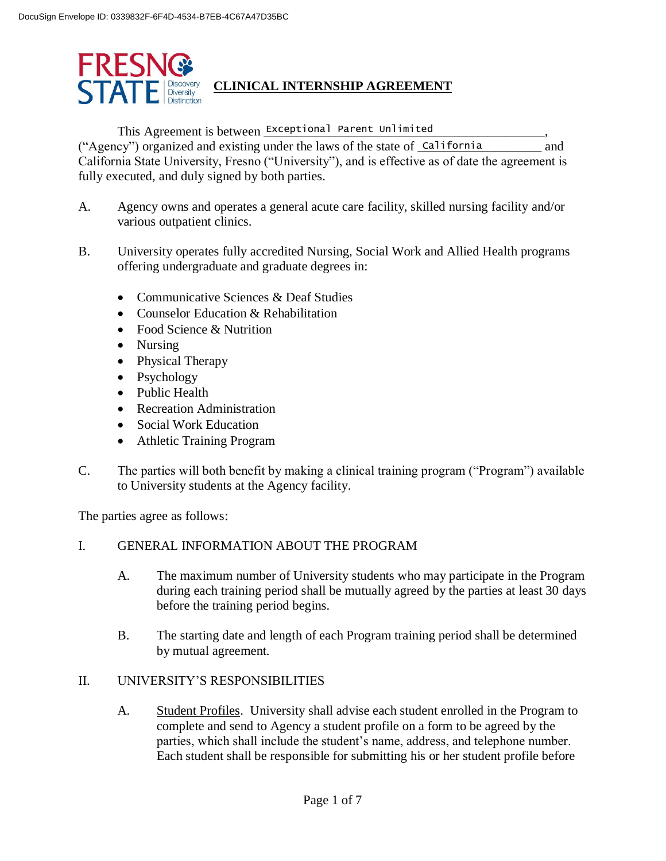

This Agreement is between Exceptional Parent Unlimited \_\_\_\_\_\_\_\_\_\_\_\_\_\_\_\_\_\_\_,

("Agency") organized and existing under the laws of the state of **California** and California State University, Fresno ("University"), and is effective as of date the agreement is fully executed, and duly signed by both parties.

- A. Agency owns and operates a general acute care facility, skilled nursing facility and/or various outpatient clinics.
- B. University operates fully accredited Nursing, Social Work and Allied Health programs offering undergraduate and graduate degrees in:
	- Communicative Sciences & Deaf Studies
	- Counselor Education & Rehabilitation
	- Food Science & Nutrition
	- Nursing
	- Physical Therapy
	- Psychology
	- Public Health
	- Recreation Administration
	- Social Work Education
	- Athletic Training Program
- C. The parties will both benefit by making a clinical training program ("Program") available to University students at the Agency facility.

The parties agree as follows:

### I. GENERAL INFORMATION ABOUT THE PROGRAM

- A. The maximum number of University students who may participate in the Program during each training period shall be mutually agreed by the parties at least 30 days before the training period begins.
- B. The starting date and length of each Program training period shall be determined by mutual agreement.

### II. UNIVERSITY'S RESPONSIBILITIES

A. Student Profiles. University shall advise each student enrolled in the Program to complete and send to Agency a student profile on a form to be agreed by the parties, which shall include the student's name, address, and telephone number. Each student shall be responsible for submitting his or her student profile before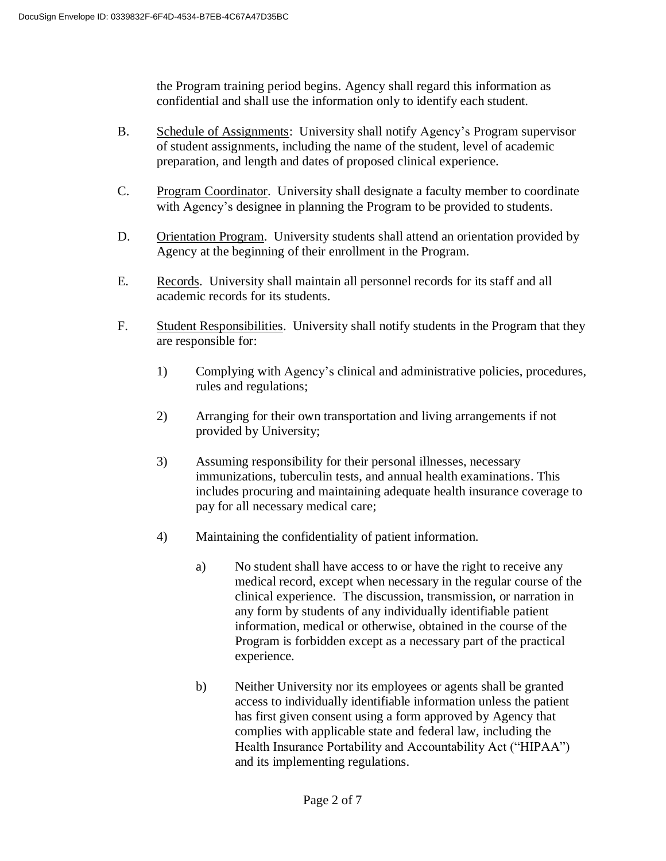the Program training period begins. Agency shall regard this information as confidential and shall use the information only to identify each student.

- B. Schedule of Assignments: University shall notify Agency's Program supervisor of student assignments, including the name of the student, level of academic preparation, and length and dates of proposed clinical experience.
- C. Program Coordinator. University shall designate a faculty member to coordinate with Agency's designee in planning the Program to be provided to students.
- D. Orientation Program. University students shall attend an orientation provided by Agency at the beginning of their enrollment in the Program.
- E. Records. University shall maintain all personnel records for its staff and all academic records for its students.
- F. Student Responsibilities. University shall notify students in the Program that they are responsible for:
	- 1) Complying with Agency's clinical and administrative policies, procedures, rules and regulations;
	- 2) Arranging for their own transportation and living arrangements if not provided by University;
	- 3) Assuming responsibility for their personal illnesses, necessary immunizations, tuberculin tests, and annual health examinations. This includes procuring and maintaining adequate health insurance coverage to pay for all necessary medical care;
	- 4) Maintaining the confidentiality of patient information.
		- a) No student shall have access to or have the right to receive any medical record, except when necessary in the regular course of the clinical experience. The discussion, transmission, or narration in any form by students of any individually identifiable patient information, medical or otherwise, obtained in the course of the Program is forbidden except as a necessary part of the practical experience.
		- b) Neither University nor its employees or agents shall be granted access to individually identifiable information unless the patient has first given consent using a form approved by Agency that complies with applicable state and federal law, including the Health Insurance Portability and Accountability Act ("HIPAA") and its implementing regulations.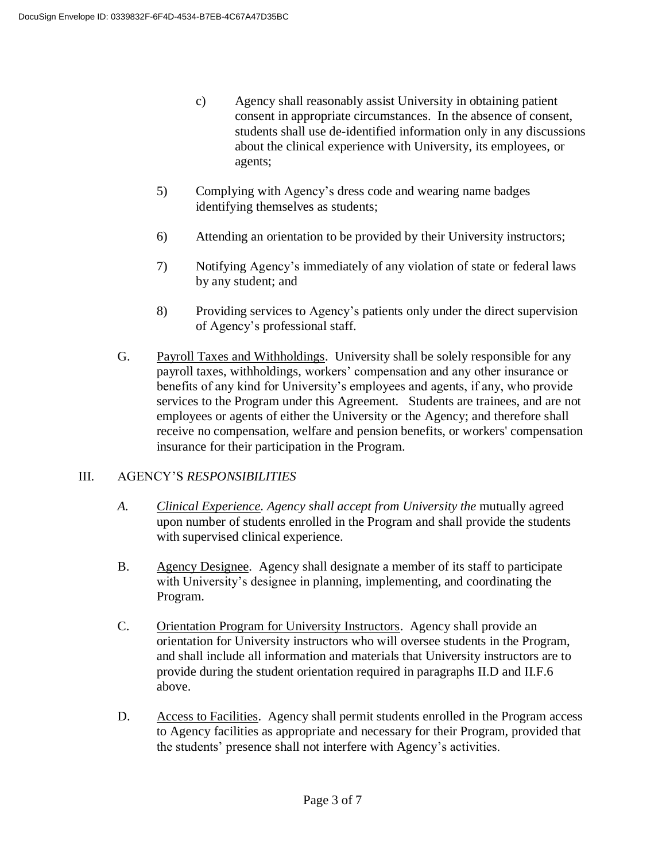- c) Agency shall reasonably assist University in obtaining patient consent in appropriate circumstances. In the absence of consent, students shall use de-identified information only in any discussions about the clinical experience with University, its employees, or agents;
- 5) Complying with Agency's dress code and wearing name badges identifying themselves as students;
- 6) Attending an orientation to be provided by their University instructors;
- 7) Notifying Agency's immediately of any violation of state or federal laws by any student; and
- 8) Providing services to Agency's patients only under the direct supervision of Agency's professional staff.
- G. Payroll Taxes and Withholdings. University shall be solely responsible for any payroll taxes, withholdings, workers' compensation and any other insurance or benefits of any kind for University's employees and agents, if any, who provide services to the Program under this Agreement. Students are trainees, and are not employees or agents of either the University or the Agency; and therefore shall receive no compensation, welfare and pension benefits, or workers' compensation insurance for their participation in the Program.

#### III. AGENCY'S *RESPONSIBILITIES*

- A. *Clinical Experience. Agency shall accept from University the mutually agreed* upon number of students enrolled in the Program and shall provide the students with supervised clinical experience.
- B. Agency Designee. Agency shall designate a member of its staff to participate with University's designee in planning, implementing, and coordinating the Program.
- C. Orientation Program for University Instructors. Agency shall provide an orientation for University instructors who will oversee students in the Program, and shall include all information and materials that University instructors are to provide during the student orientation required in paragraphs II.D and II.F.6 above.
- D. Access to Facilities. Agency shall permit students enrolled in the Program access to Agency facilities as appropriate and necessary for their Program, provided that the students' presence shall not interfere with Agency's activities.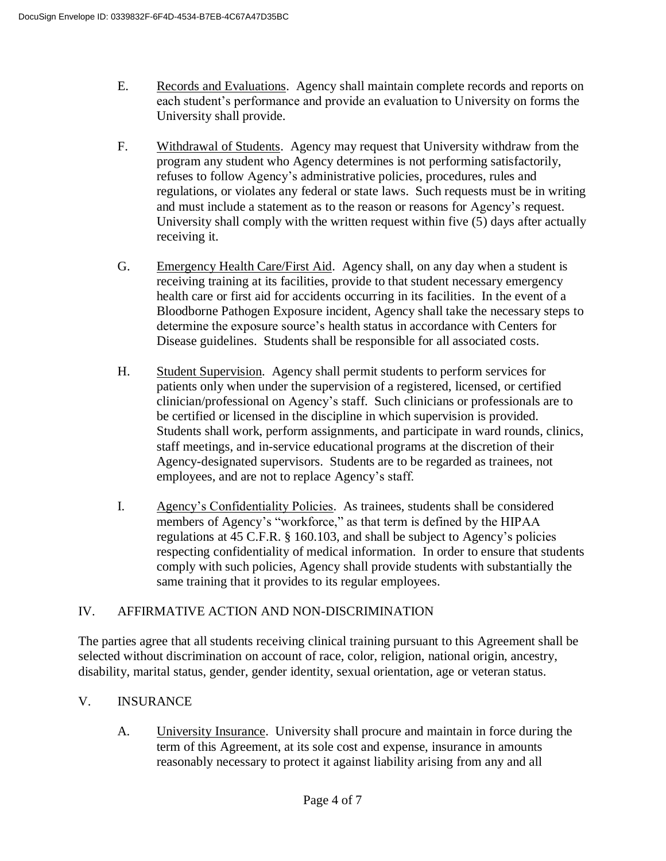- E. Records and Evaluations. Agency shall maintain complete records and reports on each student's performance and provide an evaluation to University on forms the University shall provide.
- F. Withdrawal of Students. Agency may request that University withdraw from the program any student who Agency determines is not performing satisfactorily, refuses to follow Agency's administrative policies, procedures, rules and regulations, or violates any federal or state laws. Such requests must be in writing and must include a statement as to the reason or reasons for Agency's request. University shall comply with the written request within five (5) days after actually receiving it.
- G. Emergency Health Care/First Aid. Agency shall, on any day when a student is receiving training at its facilities, provide to that student necessary emergency health care or first aid for accidents occurring in its facilities. In the event of a Bloodborne Pathogen Exposure incident, Agency shall take the necessary steps to determine the exposure source's health status in accordance with Centers for Disease guidelines. Students shall be responsible for all associated costs.
- H. Student Supervision. Agency shall permit students to perform services for patients only when under the supervision of a registered, licensed, or certified clinician/professional on Agency's staff. Such clinicians or professionals are to be certified or licensed in the discipline in which supervision is provided. Students shall work, perform assignments, and participate in ward rounds, clinics, staff meetings, and in-service educational programs at the discretion of their Agency-designated supervisors. Students are to be regarded as trainees, not employees, and are not to replace Agency's staff.
- I. Agency's Confidentiality Policies. As trainees, students shall be considered members of Agency's "workforce," as that term is defined by the HIPAA regulations at 45 C.F.R. § 160.103, and shall be subject to Agency's policies respecting confidentiality of medical information. In order to ensure that students comply with such policies, Agency shall provide students with substantially the same training that it provides to its regular employees.

# IV. AFFIRMATIVE ACTION AND NON-DISCRIMINATION

The parties agree that all students receiving clinical training pursuant to this Agreement shall be selected without discrimination on account of race, color, religion, national origin, ancestry, disability, marital status, gender, gender identity, sexual orientation, age or veteran status.

# V. INSURANCE

A. University Insurance. University shall procure and maintain in force during the term of this Agreement, at its sole cost and expense, insurance in amounts reasonably necessary to protect it against liability arising from any and all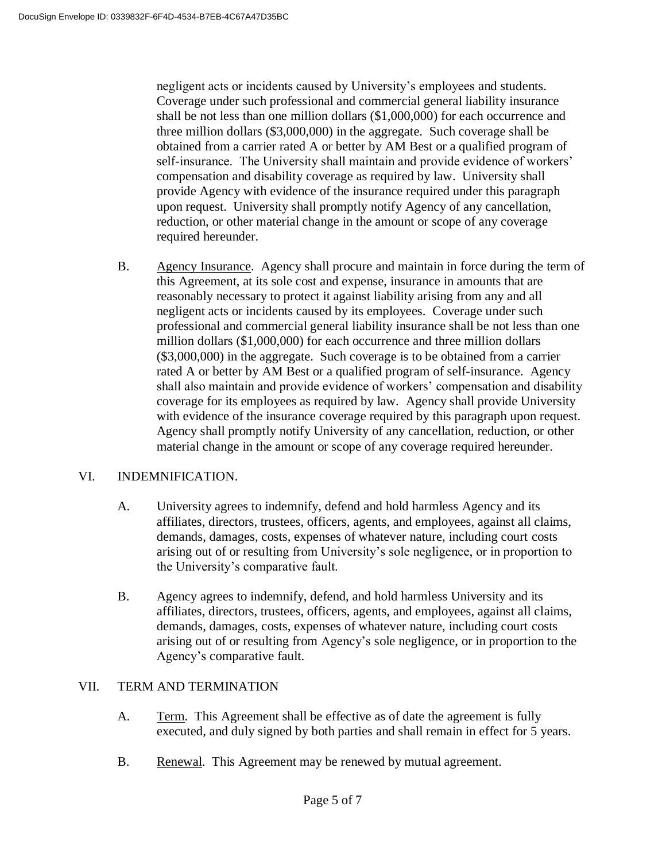negligent acts or incidents caused by University's employees and students. Coverage under such professional and commercial general liability insurance shall be not less than one million dollars (\$1,000,000) for each occurrence and three million dollars (\$3,000,000) in the aggregate. Such coverage shall be obtained from a carrier rated A or better by AM Best or a qualified program of self-insurance. The University shall maintain and provide evidence of workers' compensation and disability coverage as required by law. University shall provide Agency with evidence of the insurance required under this paragraph upon request. University shall promptly notify Agency of any cancellation, reduction, or other material change in the amount or scope of any coverage required hereunder.

B. Agency Insurance. Agency shall procure and maintain in force during the term of this Agreement, at its sole cost and expense, insurance in amounts that are reasonably necessary to protect it against liability arising from any and all negligent acts or incidents caused by its employees. Coverage under such professional and commercial general liability insurance shall be not less than one million dollars (\$1,000,000) for each occurrence and three million dollars (\$3,000,000) in the aggregate. Such coverage is to be obtained from a carrier rated A or better by AM Best or a qualified program of self-insurance. Agency shall also maintain and provide evidence of workers' compensation and disability coverage for its employees as required by law. Agency shall provide University with evidence of the insurance coverage required by this paragraph upon request. Agency shall promptly notify University of any cancellation, reduction, or other material change in the amount or scope of any coverage required hereunder.

### VI. INDEMNIFICATION.

- A. University agrees to indemnify, defend and hold harmless Agency and its affiliates, directors, trustees, officers, agents, and employees, against all claims, demands, damages, costs, expenses of whatever nature, including court costs arising out of or resulting from University's sole negligence, or in proportion to the University's comparative fault.
- B. Agency agrees to indemnify, defend, and hold harmless University and its affiliates, directors, trustees, officers, agents, and employees, against all claims, demands, damages, costs, expenses of whatever nature, including court costs arising out of or resulting from Agency's sole negligence, or in proportion to the Agency's comparative fault.

### VII. TERM AND TERMINATION

- A. Term. This Agreement shall be effective as of date the agreement is fully executed, and duly signed by both parties and shall remain in effect for 5 years.
- B. Renewal. This Agreement may be renewed by mutual agreement.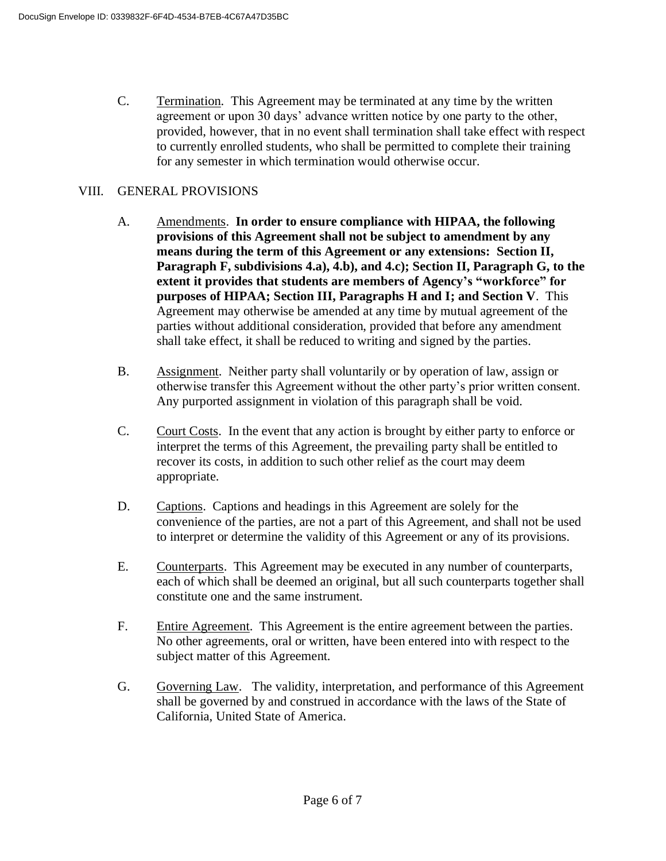C. Termination. This Agreement may be terminated at any time by the written agreement or upon 30 days' advance written notice by one party to the other, provided, however, that in no event shall termination shall take effect with respect to currently enrolled students, who shall be permitted to complete their training for any semester in which termination would otherwise occur.

#### VIII. GENERAL PROVISIONS

- A. Amendments. **In order to ensure compliance with HIPAA, the following provisions of this Agreement shall not be subject to amendment by any means during the term of this Agreement or any extensions: Section II, Paragraph F, subdivisions 4.a), 4.b), and 4.c); Section II, Paragraph G, to the extent it provides that students are members of Agency's "workforce" for purposes of HIPAA; Section III, Paragraphs H and I; and Section V**. This Agreement may otherwise be amended at any time by mutual agreement of the parties without additional consideration, provided that before any amendment shall take effect, it shall be reduced to writing and signed by the parties.
- B. Assignment. Neither party shall voluntarily or by operation of law, assign or otherwise transfer this Agreement without the other party's prior written consent. Any purported assignment in violation of this paragraph shall be void.
- C. Court Costs. In the event that any action is brought by either party to enforce or interpret the terms of this Agreement, the prevailing party shall be entitled to recover its costs, in addition to such other relief as the court may deem appropriate.
- D. Captions. Captions and headings in this Agreement are solely for the convenience of the parties, are not a part of this Agreement, and shall not be used to interpret or determine the validity of this Agreement or any of its provisions.
- E. Counterparts. This Agreement may be executed in any number of counterparts, each of which shall be deemed an original, but all such counterparts together shall constitute one and the same instrument.
- F. Entire Agreement. This Agreement is the entire agreement between the parties. No other agreements, oral or written, have been entered into with respect to the subject matter of this Agreement.
- G. Governing Law. The validity, interpretation, and performance of this Agreement shall be governed by and construed in accordance with the laws of the State of California, United State of America.